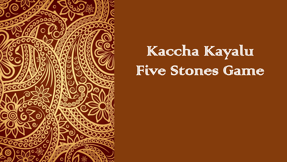

## Kaccha Kayalur Five Stones Game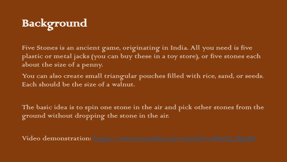## Background

Five Stones is an ancient game, originating in India. All you need is five plastic or metal jacks (you can bury these in a toy store), or five stones each about the size of a penny.

You can also create small triangular pouches filled with rice, sand, or seeds. Each should be the size of a walnut.

The basic idea is to spin one stone in the air and pick other stones from the ground without dropping the stone in the air.

Video demonstration: [https://www.youtube.com/watch?v=FPuiZ\\_fQnPA](https://www.youtube.com/watch?v=FPuiZ_fQnPA)